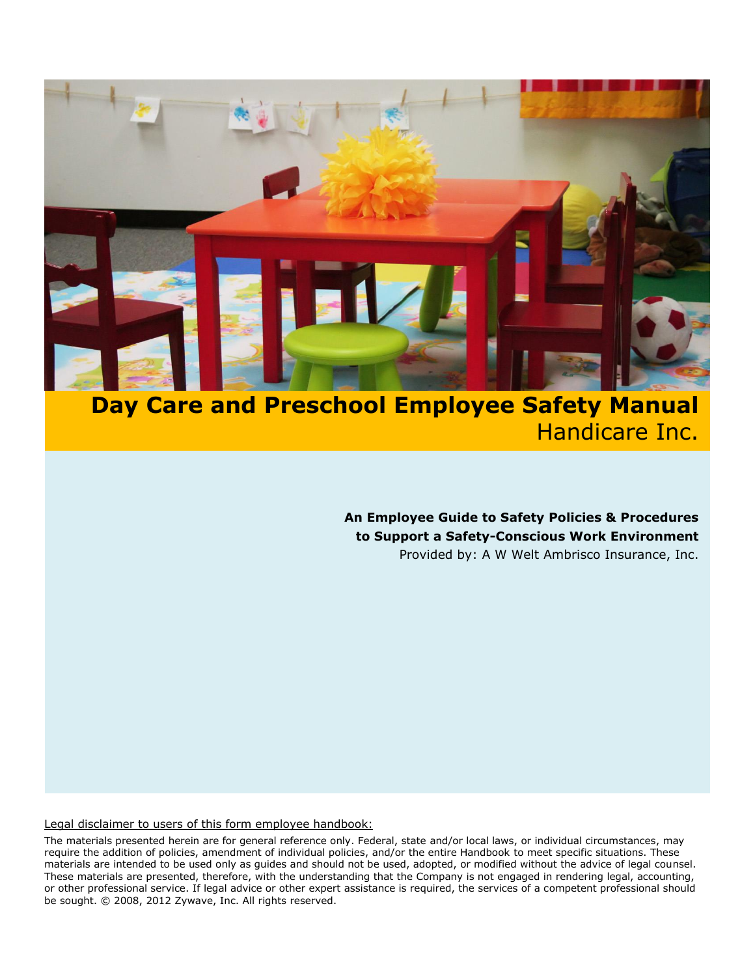

# **Day Care and Preschool Employee Safety Manual** Handicare Inc.

**An Employee Guide to Safety Policies & Procedures to Support a Safety-Conscious Work Environment** Provided by: A W Welt Ambrisco Insurance, Inc.

#### Legal disclaimer to users of this form employee handbook:

<span id="page-0-0"></span>The materials presented herein are for general reference only. Federal, state and/or local laws, or individual circumstances, may require the addition of policies, amendment of individual policies, and/or the entire Handbook to meet specific situations. These materials are intended to be used only as guides and should not be used, adopted, or modified without the advice of legal counsel. These materials are presented, therefore, with the understanding that the Company is not engaged in rendering legal, accounting, or other professional service. If legal advice or other expert assistance is required, the services of a competent professional should be sought. © 2008, 2012 Zywave, Inc. All rights reserved.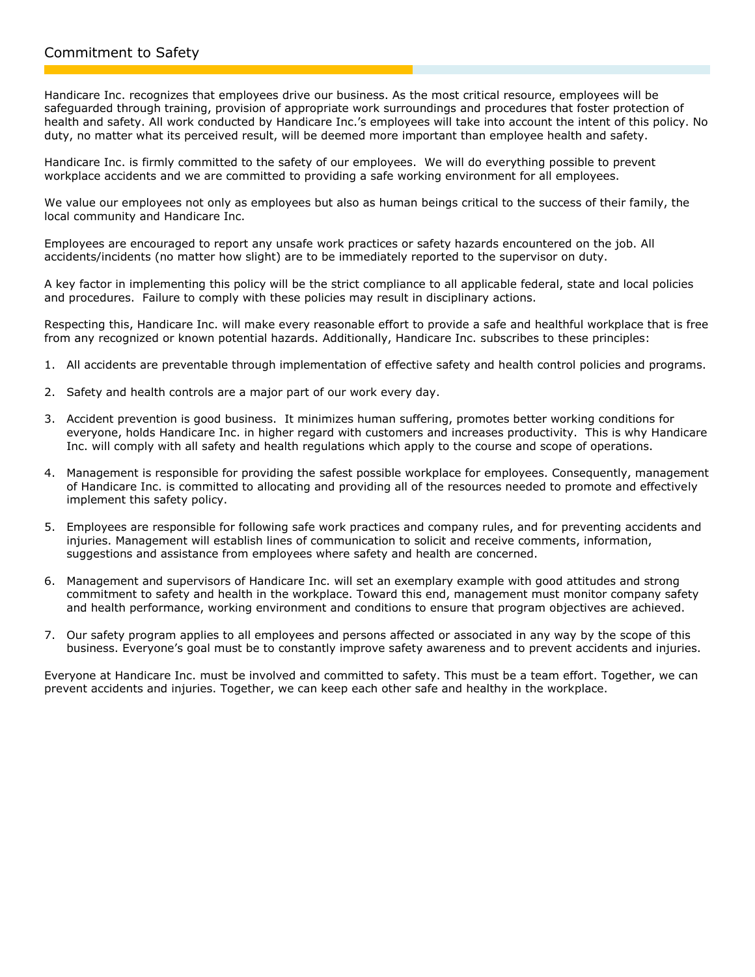Handicare Inc. recognizes that employees drive our business. As the most critical resource, employees will be safeguarded through training, provision of appropriate work surroundings and procedures that foster protection of health and safety. All work conducted by Handicare Inc.'s employees will take into account the intent of this policy. No duty, no matter what its perceived result, will be deemed more important than employee health and safety.

Handicare Inc. is firmly committed to the safety of our employees. We will do everything possible to prevent workplace accidents and we are committed to providing a safe working environment for all employees.

We value our employees not only as employees but also as human beings critical to the success of their family, the local community and Handicare Inc.

Employees are encouraged to report any unsafe work practices or safety hazards encountered on the job. All accidents/incidents (no matter how slight) are to be immediately reported to the supervisor on duty.

A key factor in implementing this policy will be the strict compliance to all applicable federal, state and local policies and procedures. Failure to comply with these policies may result in disciplinary actions.

Respecting this, Handicare Inc. will make every reasonable effort to provide a safe and healthful workplace that is free from any recognized or known potential hazards. Additionally, Handicare Inc. subscribes to these principles:

- 1. All accidents are preventable through implementation of effective safety and health control policies and programs.
- 2. Safety and health controls are a major part of our work every day.
- 3. Accident prevention is good business. It minimizes human suffering, promotes better working conditions for everyone, holds Handicare Inc. in higher regard with customers and increases productivity. This is why Handicare Inc. will comply with all safety and health regulations which apply to the course and scope of operations.
- 4. Management is responsible for providing the safest possible workplace for employees. Consequently, management of Handicare Inc. is committed to allocating and providing all of the resources needed to promote and effectively implement this safety policy.
- 5. Employees are responsible for following safe work practices and company rules, and for preventing accidents and injuries. Management will establish lines of communication to solicit and receive comments, information, suggestions and assistance from employees where safety and health are concerned.
- 6. Management and supervisors of Handicare Inc. will set an exemplary example with good attitudes and strong commitment to safety and health in the workplace. Toward this end, management must monitor company safety and health performance, working environment and conditions to ensure that program objectives are achieved.
- 7. Our safety program applies to all employees and persons affected or associated in any way by the scope of this business. Everyone's goal must be to constantly improve safety awareness and to prevent accidents and injuries.

Everyone at Handicare Inc. must be involved and committed to safety. This must be a team effort. Together, we can prevent accidents and injuries. Together, we can keep each other safe and healthy in the workplace.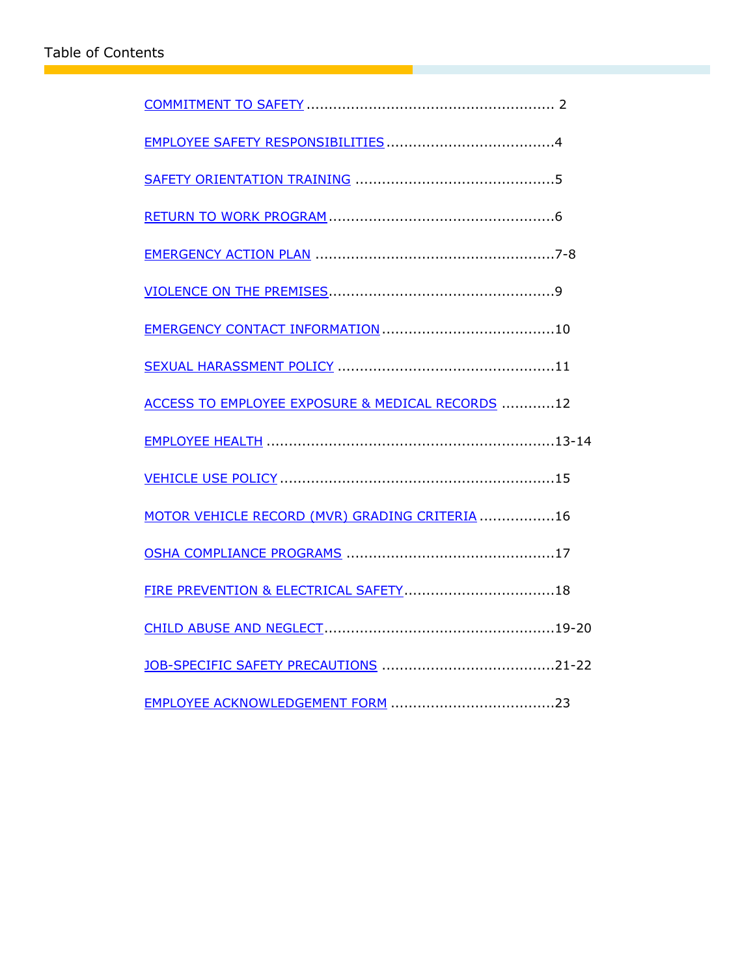<span id="page-2-0"></span>

| ACCESS TO EMPLOYEE EXPOSURE & MEDICAL RECORDS 12 |
|--------------------------------------------------|
|                                                  |
|                                                  |
| MOTOR VEHICLE RECORD (MVR) GRADING CRITERIA 16   |
|                                                  |
|                                                  |
|                                                  |
|                                                  |
|                                                  |

T.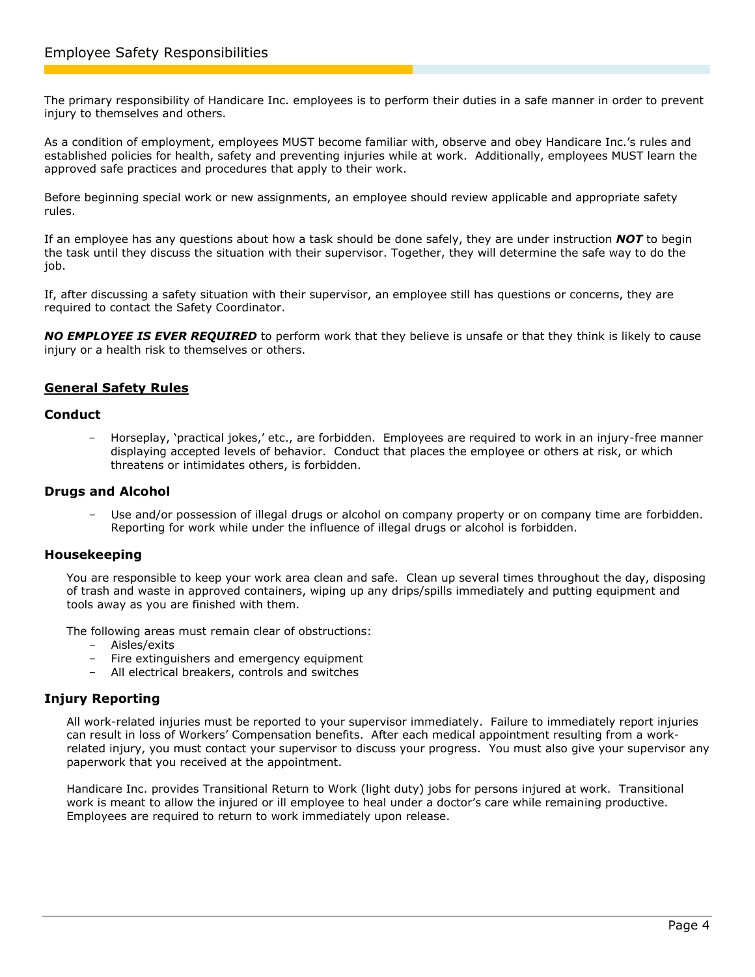The primary responsibility of Handicare Inc. employees is to perform their duties in a safe manner in order to prevent injury to themselves and others.

As a condition of employment, employees MUST become familiar with, observe and obey Handicare Inc.'s rules and established policies for health, safety and preventing injuries while at work. Additionally, employees MUST learn the approved safe practices and procedures that apply to their work.

Before beginning special work or new assignments, an employee should review applicable and appropriate safety rules.

If an employee has any questions about how a task should be done safely, they are under instruction *NOT* to begin the task until they discuss the situation with their supervisor. Together, they will determine the safe way to do the job.

If, after discussing a safety situation with their supervisor, an employee still has questions or concerns, they are required to contact the Safety Coordinator.

*NO EMPLOYEE IS EVER REQUIRED* to perform work that they believe is unsafe or that they think is likely to cause injury or a health risk to themselves or others.

## **General Safety Rules**

#### **Conduct**

- Horseplay, 'practical jokes,' etc., are forbidden. Employees are required to work in an injury-free manner displaying accepted levels of behavior. Conduct that places the employee or others at risk, or which threatens or intimidates others, is forbidden.

#### **Drugs and Alcohol**

Use and/or possession of illegal drugs or alcohol on company property or on company time are forbidden. Reporting for work while under the influence of illegal drugs or alcohol is forbidden.

#### **Housekeeping**

You are responsible to keep your work area clean and safe. Clean up several times throughout the day, disposing of trash and waste in approved containers, wiping up any drips/spills immediately and putting equipment and tools away as you are finished with them.

The following areas must remain clear of obstructions:

- Aisles/exits
- Fire extinguishers and emergency equipment
- All electrical breakers, controls and switches

## **Injury Reporting**

All work-related injuries must be reported to your supervisor immediately. Failure to immediately report injuries can result in loss of Workers' Compensation benefits. After each medical appointment resulting from a workrelated injury, you must contact your supervisor to discuss your progress. You must also give your supervisor any paperwork that you received at the appointment.

<span id="page-3-0"></span>Handicare Inc. provides Transitional Return to Work (light duty) jobs for persons injured at work. Transitional work is meant to allow the injured or ill employee to heal under a doctor's care while remaining productive. Employees are required to return to work immediately upon release.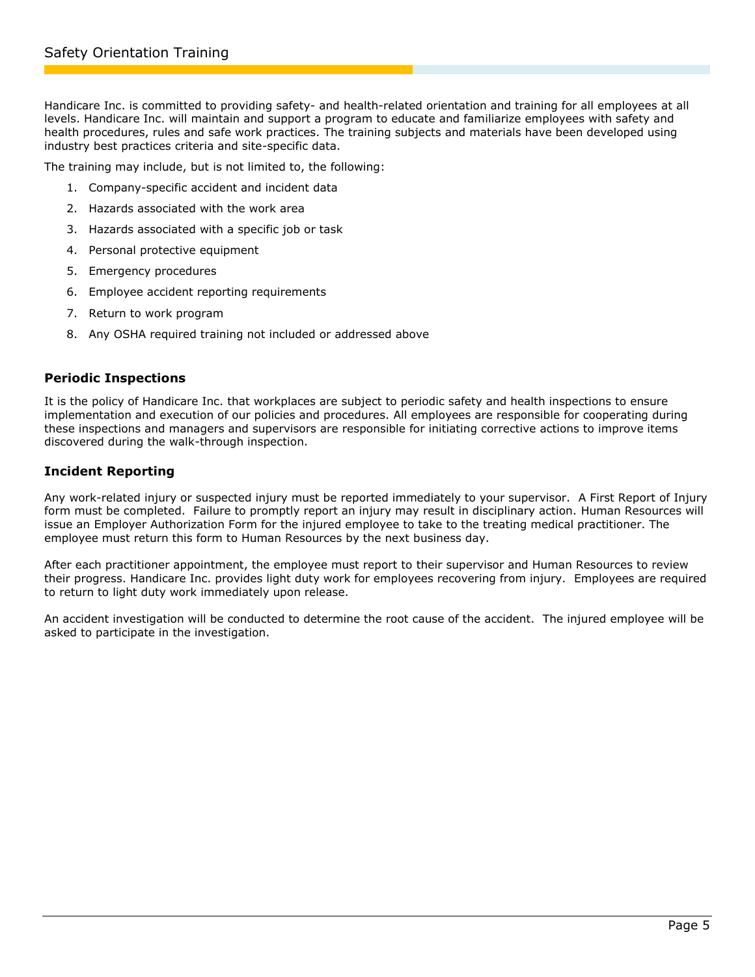Handicare Inc. is committed to providing safety- and health-related orientation and training for all employees at all levels. Handicare Inc. will maintain and support a program to educate and familiarize employees with safety and health procedures, rules and safe work practices. The training subjects and materials have been developed using industry best practices criteria and site-specific data.

The training may include, but is not limited to, the following:

- 1. Company-specific accident and incident data
- 2. Hazards associated with the work area
- 3. Hazards associated with a specific job or task
- 4. Personal protective equipment
- 5. Emergency procedures
- 6. Employee accident reporting requirements
- 7. Return to work program
- 8. Any OSHA required training not included or addressed above

#### **Periodic Inspections**

It is the policy of Handicare Inc. that workplaces are subject to periodic safety and health inspections to ensure implementation and execution of our policies and procedures. All employees are responsible for cooperating during these inspections and managers and supervisors are responsible for initiating corrective actions to improve items discovered during the walk-through inspection.

## **Incident Reporting**

Any work-related injury or suspected injury must be reported immediately to your supervisor. A First Report of Injury form must be completed. Failure to promptly report an injury may result in disciplinary action. Human Resources will issue an Employer Authorization Form for the injured employee to take to the treating medical practitioner. The employee must return this form to Human Resources by the next business day.

After each practitioner appointment, the employee must report to their supervisor and Human Resources to review their progress. Handicare Inc. provides light duty work for employees recovering from injury. Employees are required to return to light duty work immediately upon release.

<span id="page-4-0"></span>An accident investigation will be conducted to determine the root cause of the accident. The injured employee will be asked to participate in the investigation.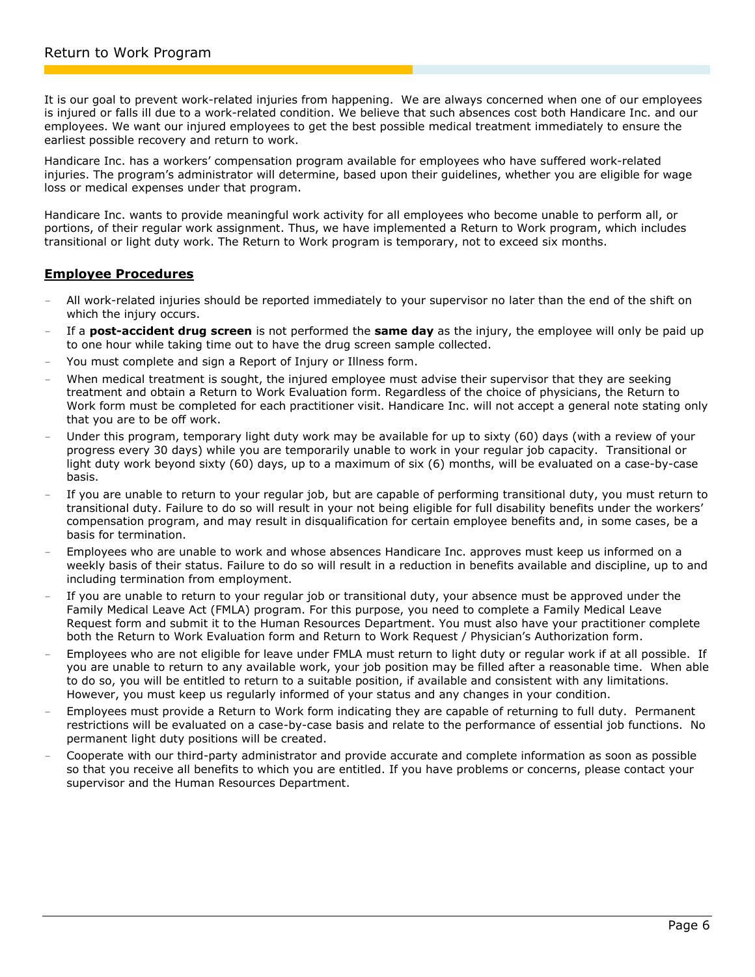It is our goal to prevent work-related injuries from happening. We are always concerned when one of our employees is injured or falls ill due to a work-related condition. We believe that such absences cost both Handicare Inc. and our employees. We want our injured employees to get the best possible medical treatment immediately to ensure the earliest possible recovery and return to work.

Handicare Inc. has a workers' compensation program available for employees who have suffered work-related injuries. The program's administrator will determine, based upon their guidelines, whether you are eligible for wage loss or medical expenses under that program.

Handicare Inc. wants to provide meaningful work activity for all employees who become unable to perform all, or portions, of their regular work assignment. Thus, we have implemented a Return to Work program, which includes transitional or light duty work. The Return to Work program is temporary, not to exceed six months.

## **Employee Procedures**

- All work-related injuries should be reported immediately to your supervisor no later than the end of the shift on which the injury occurs.
- If a **post-accident drug screen** is not performed the **same day** as the injury, the employee will only be paid up to one hour while taking time out to have the drug screen sample collected.
- You must complete and sign a Report of Injury or Illness form.
- When medical treatment is sought, the injured employee must advise their supervisor that they are seeking treatment and obtain a Return to Work Evaluation form. Regardless of the choice of physicians, the Return to Work form must be completed for each practitioner visit. Handicare Inc. will not accept a general note stating only that you are to be off work.
- Under this program, temporary light duty work may be available for up to sixty (60) days (with a review of your progress every 30 days) while you are temporarily unable to work in your regular job capacity. Transitional or light duty work beyond sixty (60) days, up to a maximum of six (6) months, will be evaluated on a case-by-case basis.
- If you are unable to return to your regular job, but are capable of performing transitional duty, you must return to transitional duty. Failure to do so will result in your not being eligible for full disability benefits under the workers' compensation program, and may result in disqualification for certain employee benefits and, in some cases, be a basis for termination.
- Employees who are unable to work and whose absences Handicare Inc. approves must keep us informed on a weekly basis of their status. Failure to do so will result in a reduction in benefits available and discipline, up to and including termination from employment.
- If you are unable to return to your regular job or transitional duty, your absence must be approved under the Family Medical Leave Act (FMLA) program. For this purpose, you need to complete a Family Medical Leave Request form and submit it to the Human Resources Department. You must also have your practitioner complete both the Return to Work Evaluation form and Return to Work Request / Physician's Authorization form.
- Employees who are not eligible for leave under FMLA must return to light duty or regular work if at all possible. If you are unable to return to any available work, your job position may be filled after a reasonable time. When able to do so, you will be entitled to return to a suitable position, if available and consistent with any limitations. However, you must keep us regularly informed of your status and any changes in your condition.
- Employees must provide a Return to Work form indicating they are capable of returning to full duty. Permanent restrictions will be evaluated on a case-by-case basis and relate to the performance of essential job functions. No permanent light duty positions will be created.
- <span id="page-5-0"></span>- Cooperate with our third-party administrator and provide accurate and complete information as soon as possible so that you receive all benefits to which you are entitled. If you have problems or concerns, please contact your supervisor and the Human Resources Department.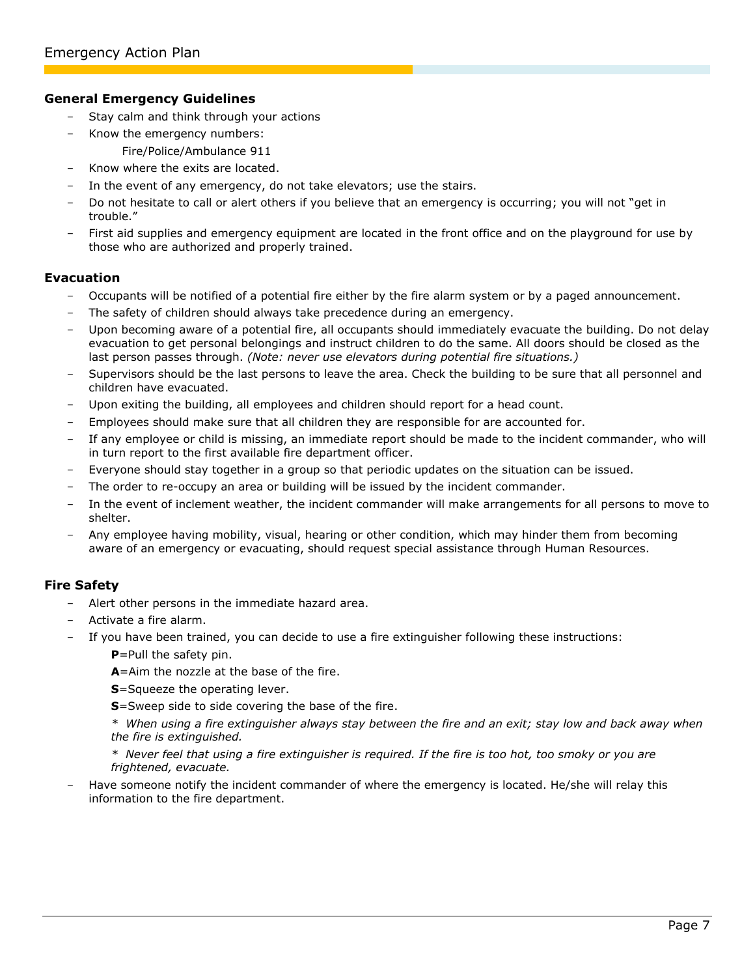#### **General Emergency Guidelines**

- Stay calm and think through your actions
- Know the emergency numbers:
	- Fire/Police/Ambulance 911
- Know where the exits are located.
- In the event of any emergency, do not take elevators; use the stairs.
- Do not hesitate to call or alert others if you believe that an emergency is occurring; you will not "get in trouble."
- First aid supplies and emergency equipment are located in the front office and on the playground for use by those who are authorized and properly trained.

## **Evacuation**

- Occupants will be notified of a potential fire either by the fire alarm system or by a paged announcement.
- The safety of children should always take precedence during an emergency.
- Upon becoming aware of a potential fire, all occupants should immediately evacuate the building. Do not delay evacuation to get personal belongings and instruct children to do the same. All doors should be closed as the last person passes through. *(Note: never use elevators during potential fire situations.)*
- Supervisors should be the last persons to leave the area. Check the building to be sure that all personnel and children have evacuated.
- Upon exiting the building, all employees and children should report for a head count.
- Employees should make sure that all children they are responsible for are accounted for.
- If any employee or child is missing, an immediate report should be made to the incident commander, who will in turn report to the first available fire department officer.
- Everyone should stay together in a group so that periodic updates on the situation can be issued.
- The order to re-occupy an area or building will be issued by the incident commander.
- In the event of inclement weather, the incident commander will make arrangements for all persons to move to shelter.
- Any employee having mobility, visual, hearing or other condition, which may hinder them from becoming aware of an emergency or evacuating, should request special assistance through Human Resources.

## **Fire Safety**

- Alert other persons in the immediate hazard area.
- Activate a fire alarm.
- If you have been trained, you can decide to use a fire extinguisher following these instructions:
	- **P**=Pull the safety pin.
	- **A**=Aim the nozzle at the base of the fire.
	- **S**=Squeeze the operating lever.
	- **S**=Sweep side to side covering the base of the fire.
	- *\* When using a fire extinguisher always stay between the fire and an exit; stay low and back away when the fire is extinguished.*

*\* Never feel that using a fire extinguisher is required. If the fire is too hot, too smoky or you are frightened, evacuate.*

Have someone notify the incident commander of where the emergency is located. He/she will relay this information to the fire department.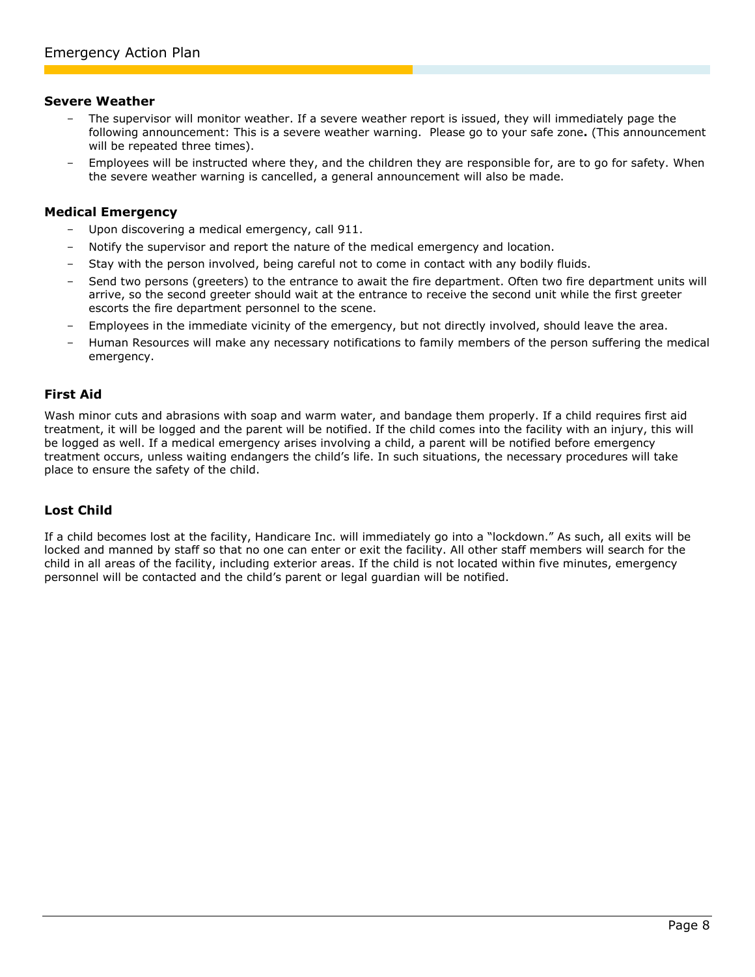#### **Severe Weather**

- The supervisor will monitor weather. If a severe weather report is issued, they will immediately page the following announcement: This is a severe weather warning. Please go to your safe zone**.** (This announcement will be repeated three times).
- Employees will be instructed where they, and the children they are responsible for, are to go for safety. When the severe weather warning is cancelled, a general announcement will also be made.

#### **Medical Emergency**

- Upon discovering a medical emergency, call 911.
- Notify the supervisor and report the nature of the medical emergency and location.
- Stay with the person involved, being careful not to come in contact with any bodily fluids.
- Send two persons (greeters) to the entrance to await the fire department. Often two fire department units will arrive, so the second greeter should wait at the entrance to receive the second unit while the first greeter escorts the fire department personnel to the scene.
- Employees in the immediate vicinity of the emergency, but not directly involved, should leave the area.
- Human Resources will make any necessary notifications to family members of the person suffering the medical emergency.

#### **First Aid**

Wash minor cuts and abrasions with soap and warm water, and bandage them properly. If a child requires first aid treatment, it will be logged and the parent will be notified. If the child comes into the facility with an injury, this will be logged as well. If a medical emergency arises involving a child, a parent will be notified before emergency treatment occurs, unless waiting endangers the child's life. In such situations, the necessary procedures will take place to ensure the safety of the child.

## **Lost Child**

<span id="page-7-0"></span>If a child becomes lost at the facility, Handicare Inc. will immediately go into a "lockdown." As such, all exits will be locked and manned by staff so that no one can enter or exit the facility. All other staff members will search for the child in all areas of the facility, including exterior areas. If the child is not located within five minutes, emergency personnel will be contacted and the child's parent or legal guardian will be notified.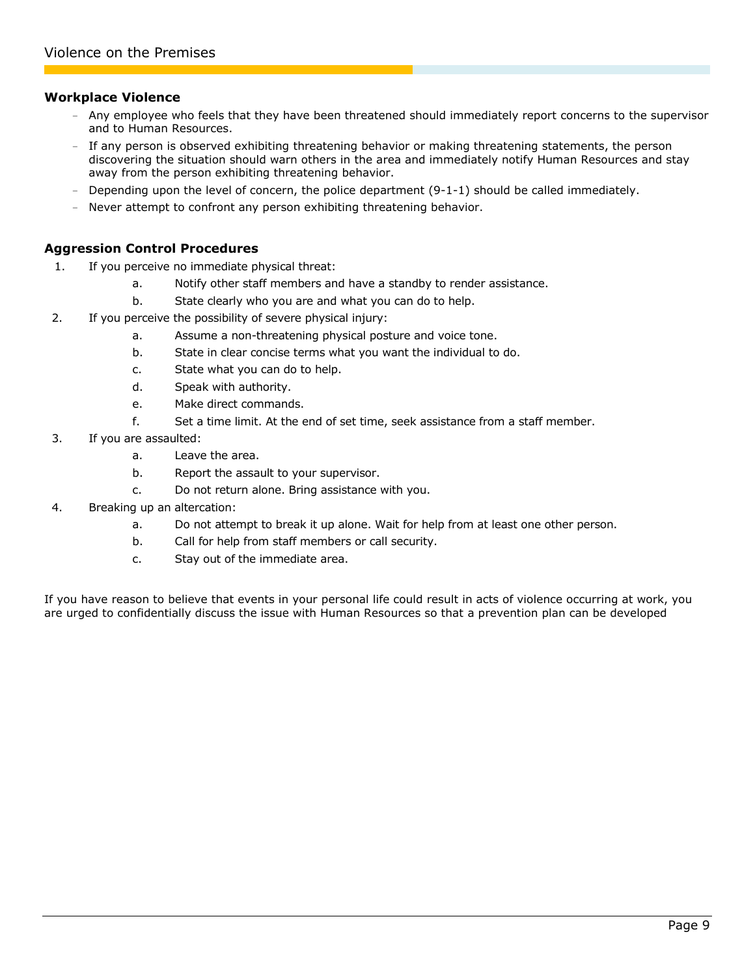#### **Workplace Violence**

- Any employee who feels that they have been threatened should immediately report concerns to the supervisor and to Human Resources.
- If any person is observed exhibiting threatening behavior or making threatening statements, the person discovering the situation should warn others in the area and immediately notify Human Resources and stay away from the person exhibiting threatening behavior.
- Depending upon the level of concern, the police department (9-1-1) should be called immediately.
- Never attempt to confront any person exhibiting threatening behavior.

## **Aggression Control Procedures**

- 1. If you perceive no immediate physical threat:
	- a. Notify other staff members and have a standby to render assistance.
	- b. State clearly who you are and what you can do to help.
- 2. If you perceive the possibility of severe physical injury:
	- a. Assume a non-threatening physical posture and voice tone.
	- b. State in clear concise terms what you want the individual to do.
	- c. State what you can do to help.
	- d. Speak with authority.
	- e. Make direct commands.
	- f. Set a time limit. At the end of set time, seek assistance from a staff member.
- 3. If you are assaulted:
	- a. Leave the area.
	- b. Report the assault to your supervisor.
	- c. Do not return alone. Bring assistance with you.
- 4. Breaking up an altercation:
	- a. Do not attempt to break it up alone. Wait for help from at least one other person.
	- b. Call for help from staff members or call security.
	- c. Stay out of the immediate area.

<span id="page-8-0"></span>If you have reason to believe that events in your personal life could result in acts of violence occurring at work, you are urged to confidentially discuss the issue with Human Resources so that a prevention plan can be developed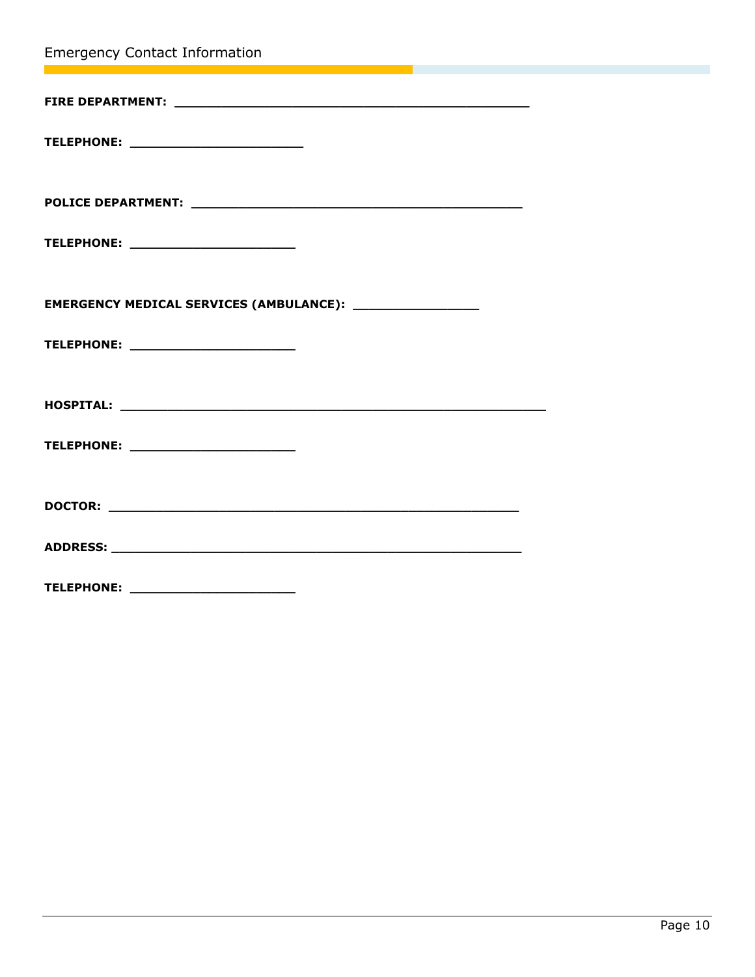<span id="page-9-0"></span>

| <b>Emergency Contact Information</b><br><u> 1989 - Jan Barnett, fransk politiker (d. 19</u>                                                            |  |
|--------------------------------------------------------------------------------------------------------------------------------------------------------|--|
| $\mathcal{L}(\mathcal{L})$ and $\mathcal{L}(\mathcal{L})$ and $\mathcal{L}(\mathcal{L})$ and $\mathcal{L}(\mathcal{L})$ and $\mathcal{L}(\mathcal{L})$ |  |
| TELEPHONE: ____________________________                                                                                                                |  |
|                                                                                                                                                        |  |
|                                                                                                                                                        |  |
| TELEPHONE: _________________________                                                                                                                   |  |
| EMERGENCY MEDICAL SERVICES (AMBULANCE): ___________________                                                                                            |  |
| TELEPHONE: _________________________                                                                                                                   |  |
|                                                                                                                                                        |  |
|                                                                                                                                                        |  |
| TELEPHONE: ________________________                                                                                                                    |  |
|                                                                                                                                                        |  |
|                                                                                                                                                        |  |
|                                                                                                                                                        |  |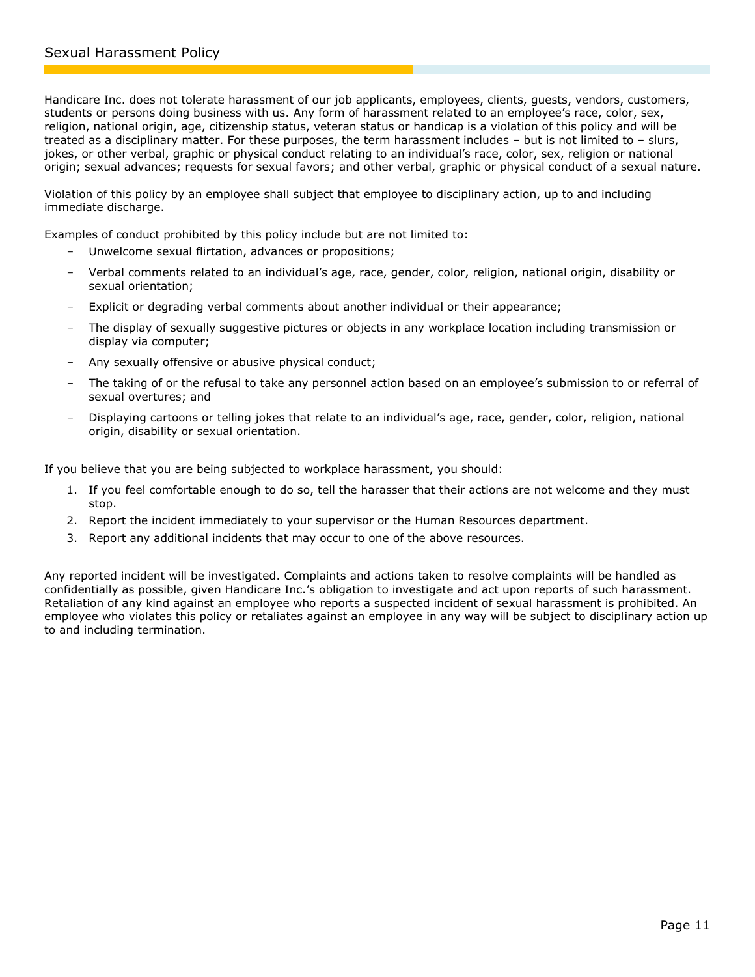Handicare Inc. does not tolerate harassment of our job applicants, employees, clients, guests, vendors, customers, students or persons doing business with us. Any form of harassment related to an employee's race, color, sex, religion, national origin, age, citizenship status, veteran status or handicap is a violation of this policy and will be treated as a disciplinary matter. For these purposes, the term harassment includes – but is not limited to – slurs, jokes, or other verbal, graphic or physical conduct relating to an individual's race, color, sex, religion or national origin; sexual advances; requests for sexual favors; and other verbal, graphic or physical conduct of a sexual nature.

Violation of this policy by an employee shall subject that employee to disciplinary action, up to and including immediate discharge.

Examples of conduct prohibited by this policy include but are not limited to:

- Unwelcome sexual flirtation, advances or propositions;
- Verbal comments related to an individual's age, race, gender, color, religion, national origin, disability or sexual orientation;
- Explicit or degrading verbal comments about another individual or their appearance;
- The display of sexually suggestive pictures or objects in any workplace location including transmission or display via computer;
- Any sexually offensive or abusive physical conduct;
- The taking of or the refusal to take any personnel action based on an employee's submission to or referral of sexual overtures; and
- Displaying cartoons or telling jokes that relate to an individual's age, race, gender, color, religion, national origin, disability or sexual orientation.

If you believe that you are being subjected to workplace harassment, you should:

- 1. If you feel comfortable enough to do so, tell the harasser that their actions are not welcome and they must stop.
- 2. Report the incident immediately to your supervisor or the Human Resources department.
- <span id="page-10-0"></span>3. Report any additional incidents that may occur to one of the above resources.

Any reported incident will be investigated. Complaints and actions taken to resolve complaints will be handled as confidentially as possible, given Handicare Inc.'s obligation to investigate and act upon reports of such harassment. Retaliation of any kind against an employee who reports a suspected incident of sexual harassment is prohibited. An employee who violates this policy or retaliates against an employee in any way will be subject to disciplinary action up to and including termination.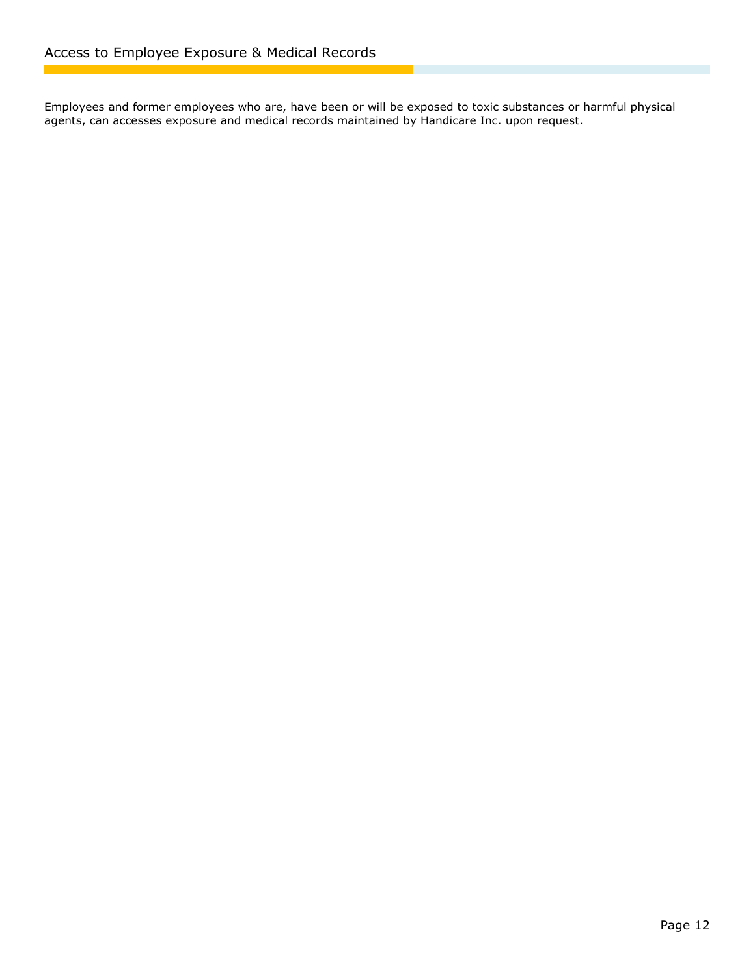<span id="page-11-0"></span>Employees and former employees who are, have been or will be exposed to toxic substances or harmful physical agents, can accesses exposure and medical records maintained by Handicare Inc. upon request.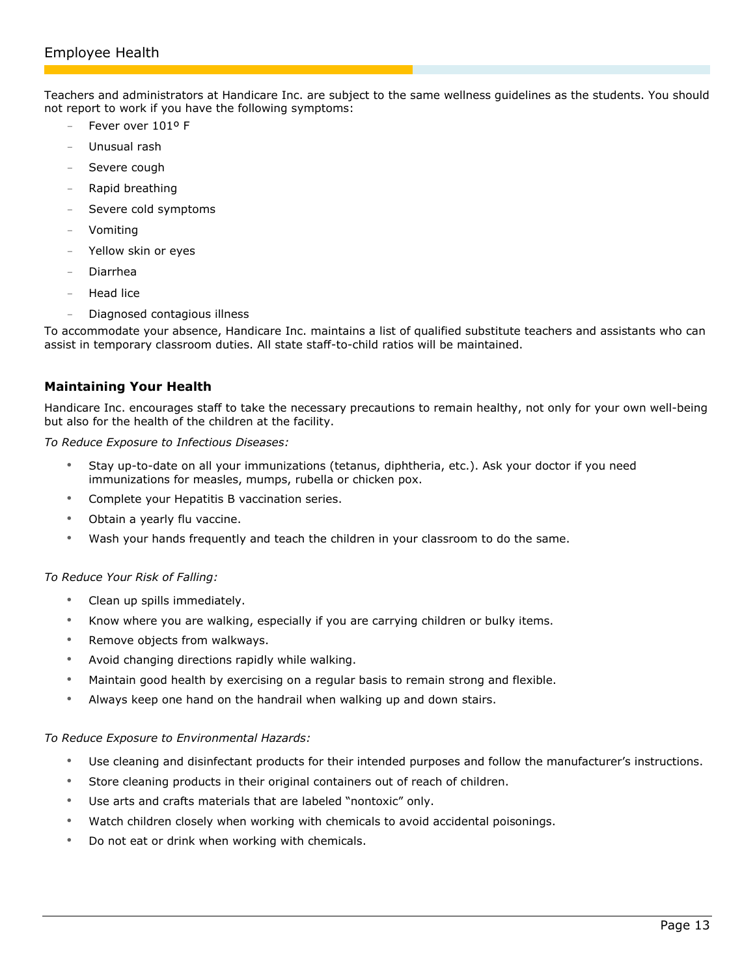Teachers and administrators at Handicare Inc. are subject to the same wellness guidelines as the students. You should not report to work if you have the following symptoms:

- Fever over 1019 F
- Unusual rash
- Severe cough
- Rapid breathing
- Severe cold symptoms
- **Vomiting**
- Yellow skin or eyes
- Diarrhea
- Head lice
- Diagnosed contagious illness

To accommodate your absence, Handicare Inc. maintains a list of qualified substitute teachers and assistants who can assist in temporary classroom duties. All state staff-to-child ratios will be maintained.

## **Maintaining Your Health**

Handicare Inc. encourages staff to take the necessary precautions to remain healthy, not only for your own well-being but also for the health of the children at the facility.

*To Reduce Exposure to Infectious Diseases:*

- Stay up-to-date on all your immunizations (tetanus, diphtheria, etc.). Ask your doctor if you need immunizations for measles, mumps, rubella or chicken pox.
- Complete your Hepatitis B vaccination series.
- Obtain a yearly flu vaccine.
- Wash your hands frequently and teach the children in your classroom to do the same.

#### *To Reduce Your Risk of Falling:*

- Clean up spills immediately.
- Know where you are walking, especially if you are carrying children or bulky items.
- Remove objects from walkways.
- Avoid changing directions rapidly while walking.
- Maintain good health by exercising on a regular basis to remain strong and flexible.
- Always keep one hand on the handrail when walking up and down stairs.

#### *To Reduce Exposure to Environmental Hazards:*

- Use cleaning and disinfectant products for their intended purposes and follow the manufacturer's instructions.
- Store cleaning products in their original containers out of reach of children.
- Use arts and crafts materials that are labeled "nontoxic" only.
- Watch children closely when working with chemicals to avoid accidental poisonings.
- Do not eat or drink when working with chemicals.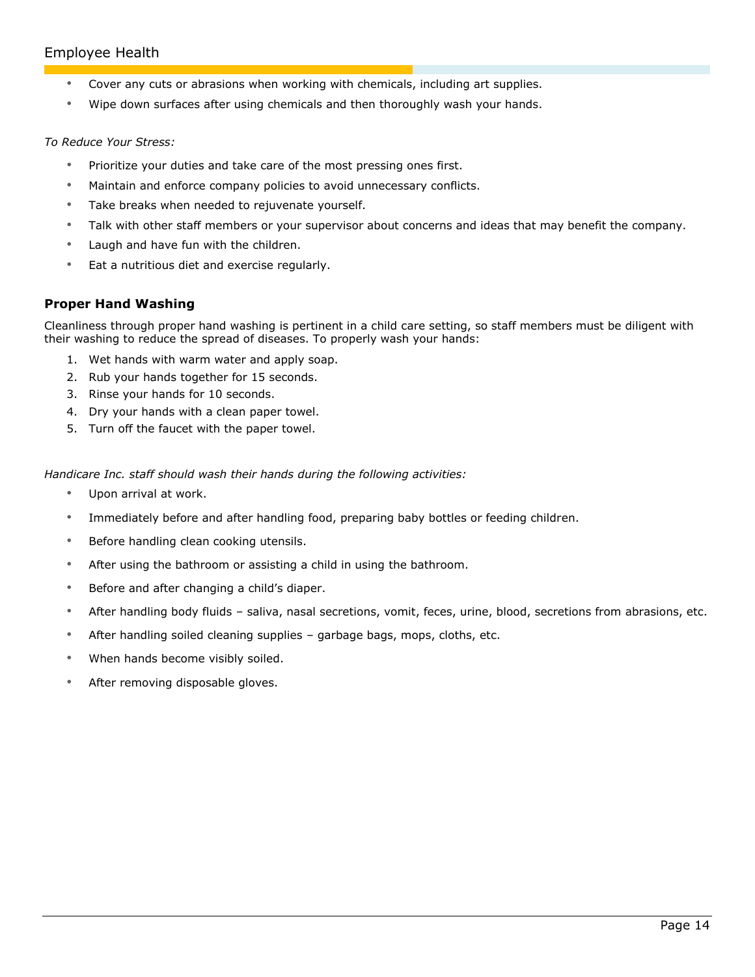# Employee Health

- Cover any cuts or abrasions when working with chemicals, including art supplies.
- Wipe down surfaces after using chemicals and then thoroughly wash your hands.

#### *To Reduce Your Stress:*

- Prioritize your duties and take care of the most pressing ones first.
- Maintain and enforce company policies to avoid unnecessary conflicts.
- Take breaks when needed to rejuvenate yourself.
- Talk with other staff members or your supervisor about concerns and ideas that may benefit the company.
- Laugh and have fun with the children.
- Eat a nutritious diet and exercise regularly.

## **Proper Hand Washing**

Cleanliness through proper hand washing is pertinent in a child care setting, so staff members must be diligent with their washing to reduce the spread of diseases. To properly wash your hands:

- 1. Wet hands with warm water and apply soap.
- 2. Rub your hands together for 15 seconds.
- 3. Rinse your hands for 10 seconds.
- 4. Dry your hands with a clean paper towel.
- 5. Turn off the faucet with the paper towel.

*Handicare Inc. staff should wash their hands during the following activities:*

- Upon arrival at work.
- Immediately before and after handling food, preparing baby bottles or feeding children.
- Before handling clean cooking utensils.
- After using the bathroom or assisting a child in using the bathroom.
- Before and after changing a child's diaper.
- After handling body fluids saliva, nasal secretions, vomit, feces, urine, blood, secretions from abrasions, etc.
- After handling soiled cleaning supplies garbage bags, mops, cloths, etc.
- When hands become visibly soiled.
- After removing disposable gloves.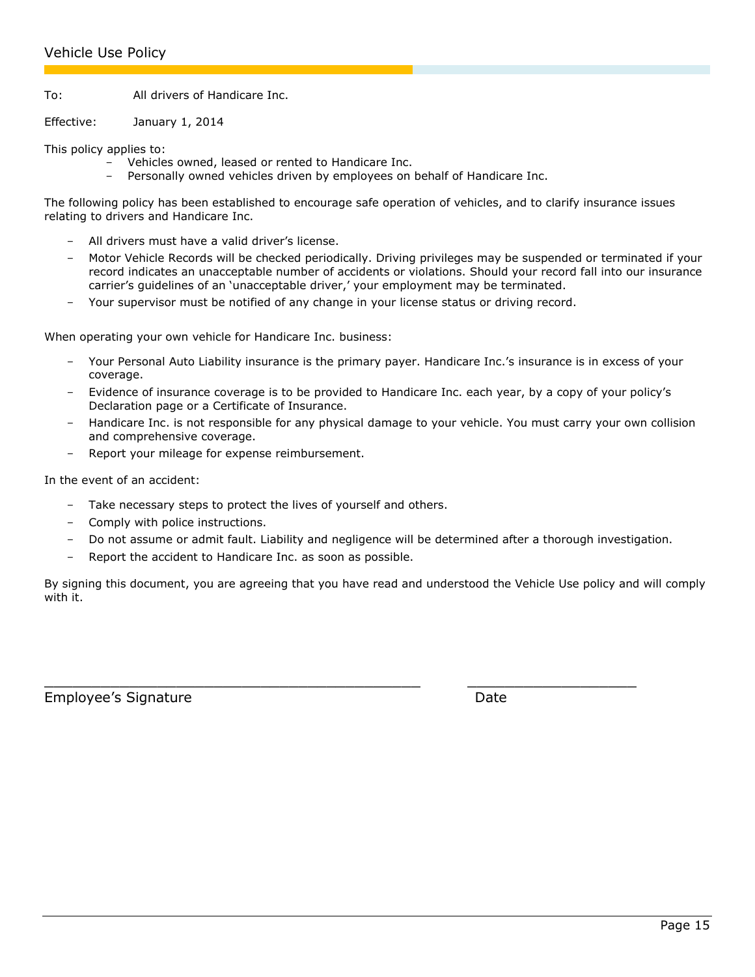To: All drivers of Handicare Inc.

Effective: January 1, 2014

This policy applies to:

- Vehicles owned, leased or rented to Handicare Inc.
- Personally owned vehicles driven by employees on behalf of Handicare Inc.

The following policy has been established to encourage safe operation of vehicles, and to clarify insurance issues relating to drivers and Handicare Inc.

- All drivers must have a valid driver's license.
- Motor Vehicle Records will be checked periodically. Driving privileges may be suspended or terminated if your record indicates an unacceptable number of accidents or violations. Should your record fall into our insurance carrier's guidelines of an 'unacceptable driver,' your employment may be terminated.
- Your supervisor must be notified of any change in your license status or driving record.

When operating your own vehicle for Handicare Inc. business:

- Your Personal Auto Liability insurance is the primary payer. Handicare Inc.'s insurance is in excess of your coverage.
- Evidence of insurance coverage is to be provided to Handicare Inc. each year, by a copy of your policy's Declaration page or a Certificate of Insurance.
- Handicare Inc. is not responsible for any physical damage to your vehicle. You must carry your own collision and comprehensive coverage.
- Report your mileage for expense reimbursement.

In the event of an accident:

- Take necessary steps to protect the lives of yourself and others.
- Comply with police instructions.
- Do not assume or admit fault. Liability and negligence will be determined after a thorough investigation.
- Report the accident to Handicare Inc. as soon as possible.

By signing this document, you are agreeing that you have read and understood the Vehicle Use policy and will comply with it.

 $\overline{\phantom{a}}$  , and the contribution of the contribution of the contribution of the contribution of the contribution of the contribution of the contribution of the contribution of the contribution of the contribution of the

<span id="page-14-0"></span>Employee's Signature and the Date Date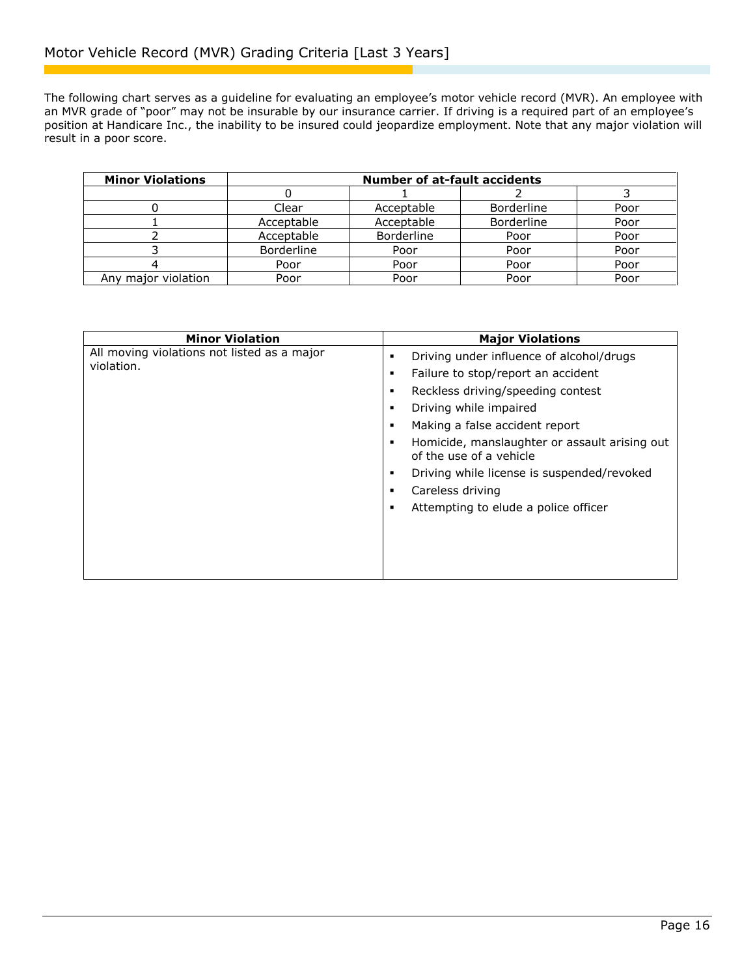The following chart serves as a guideline for evaluating an employee's motor vehicle record (MVR). An employee with an MVR grade of "poor" may not be insurable by our insurance carrier. If driving is a required part of an employee's position at Handicare Inc., the inability to be insured could jeopardize employment. Note that any major violation will result in a poor score.

| <b>Minor Violations</b> | <b>Number of at-fault accidents</b> |            |                   |      |
|-------------------------|-------------------------------------|------------|-------------------|------|
|                         |                                     |            |                   |      |
|                         | Clear                               | Acceptable | <b>Borderline</b> | Poor |
|                         | Acceptable                          | Acceptable | <b>Borderline</b> | Poor |
|                         | Acceptable                          | Borderline | Poor              | Poor |
|                         | <b>Borderline</b>                   | Poor       | Poor              | Poor |
|                         | Poor                                | Poor       | Poor              | Poor |
| Any major violation     | Poor                                | Poor       | Poor              | Poor |

<span id="page-15-0"></span>

| <b>Minor Violation</b>                                    | <b>Major Violations</b>                                                  |
|-----------------------------------------------------------|--------------------------------------------------------------------------|
| All moving violations not listed as a major<br>violation. | Driving under influence of alcohol/drugs                                 |
|                                                           | Failure to stop/report an accident                                       |
|                                                           | Reckless driving/speeding contest                                        |
|                                                           | Driving while impaired                                                   |
|                                                           | Making a false accident report                                           |
|                                                           | Homicide, manslaughter or assault arising out<br>of the use of a vehicle |
|                                                           | Driving while license is suspended/revoked<br>٠                          |
|                                                           | Careless driving                                                         |
|                                                           | Attempting to elude a police officer                                     |
|                                                           |                                                                          |
|                                                           |                                                                          |
|                                                           |                                                                          |
|                                                           |                                                                          |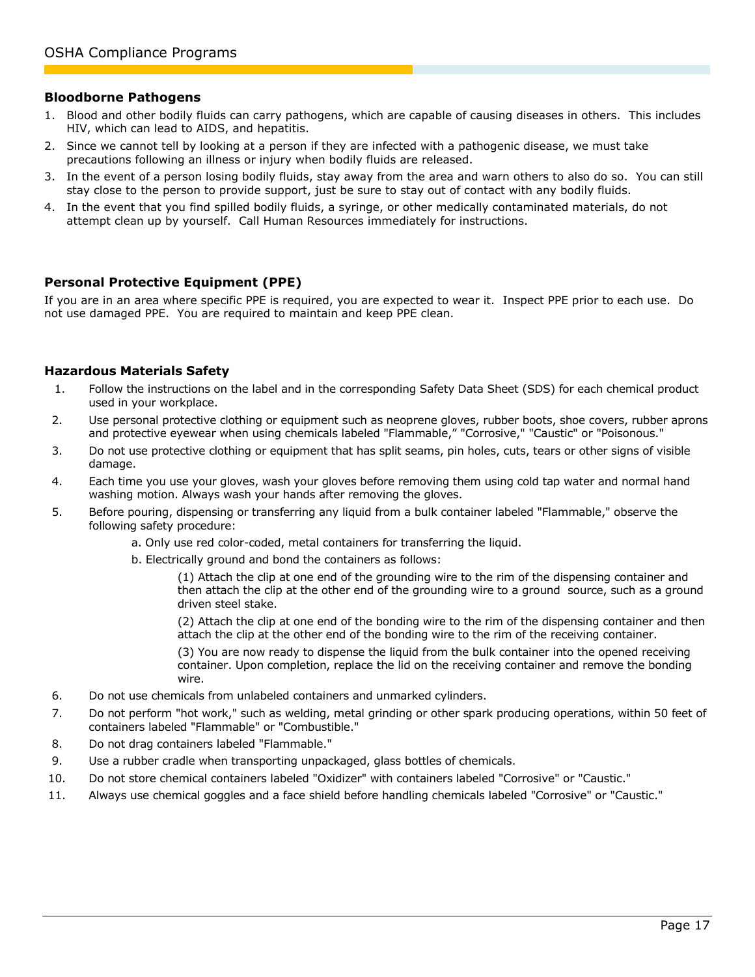#### **Bloodborne Pathogens**

- 1. Blood and other bodily fluids can carry pathogens, which are capable of causing diseases in others. This includes HIV, which can lead to AIDS, and hepatitis.
- 2. Since we cannot tell by looking at a person if they are infected with a pathogenic disease, we must take precautions following an illness or injury when bodily fluids are released.
- 3. In the event of a person losing bodily fluids, stay away from the area and warn others to also do so. You can still stay close to the person to provide support, just be sure to stay out of contact with any bodily fluids.
- 4. In the event that you find spilled bodily fluids, a syringe, or other medically contaminated materials, do not attempt clean up by yourself. Call Human Resources immediately for instructions.

## **Personal Protective Equipment (PPE)**

If you are in an area where specific PPE is required, you are expected to wear it. Inspect PPE prior to each use. Do not use damaged PPE. You are required to maintain and keep PPE clean.

#### **Hazardous Materials Safety**

- 1. Follow the instructions on the label and in the corresponding Safety Data Sheet (SDS) for each chemical product used in your workplace.
- 2. Use personal protective clothing or equipment such as neoprene gloves, rubber boots, shoe covers, rubber aprons and protective eyewear when using chemicals labeled "Flammable," "Corrosive," "Caustic" or "Poisonous."
- 3. Do not use protective clothing or equipment that has split seams, pin holes, cuts, tears or other signs of visible damage.
- 4. Each time you use your gloves, wash your gloves before removing them using cold tap water and normal hand washing motion. Always wash your hands after removing the gloves.
- 5. Before pouring, dispensing or transferring any liquid from a bulk container labeled "Flammable," observe the following safety procedure:
	- a. Only use red color-coded, metal containers for transferring the liquid.
	- b. Electrically ground and bond the containers as follows:

(1) Attach the clip at one end of the grounding wire to the rim of the dispensing container and then attach the clip at the other end of the grounding wire to a ground source, such as a ground driven steel stake.

(2) Attach the clip at one end of the bonding wire to the rim of the dispensing container and then attach the clip at the other end of the bonding wire to the rim of the receiving container.

(3) You are now ready to dispense the liquid from the bulk container into the opened receiving container. Upon completion, replace the lid on the receiving container and remove the bonding wire.

- 6. Do not use chemicals from unlabeled containers and unmarked cylinders.
- 7. Do not perform "hot work," such as welding, metal grinding or other spark producing operations, within 50 feet of containers labeled "Flammable" or "Combustible."
- 8. Do not drag containers labeled "Flammable."
- 9. Use a rubber cradle when transporting unpackaged, glass bottles of chemicals.
- 10. Do not store chemical containers labeled "Oxidizer" with containers labeled "Corrosive" or "Caustic."
- <span id="page-16-0"></span>11. Always use chemical goggles and a face shield before handling chemicals labeled "Corrosive" or "Caustic."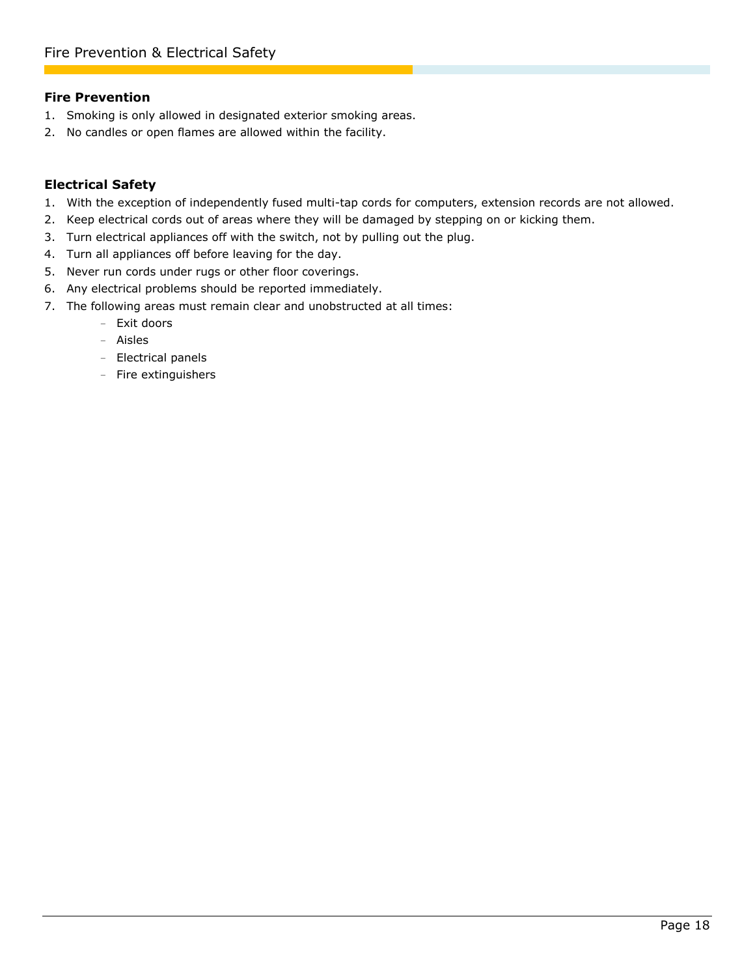## **Fire Prevention**

- 1. Smoking is only allowed in designated exterior smoking areas.
- 2. No candles or open flames are allowed within the facility.

## **Electrical Safety**

- 1. With the exception of independently fused multi-tap cords for computers, extension records are not allowed.
- 2. Keep electrical cords out of areas where they will be damaged by stepping on or kicking them.
- 3. Turn electrical appliances off with the switch, not by pulling out the plug.
- 4. Turn all appliances off before leaving for the day.
- 5. Never run cords under rugs or other floor coverings.
- 6. Any electrical problems should be reported immediately.
- <span id="page-17-0"></span>7. The following areas must remain clear and unobstructed at all times:
	- Exit doors
	- Aisles
	- Electrical panels
	- Fire extinguishers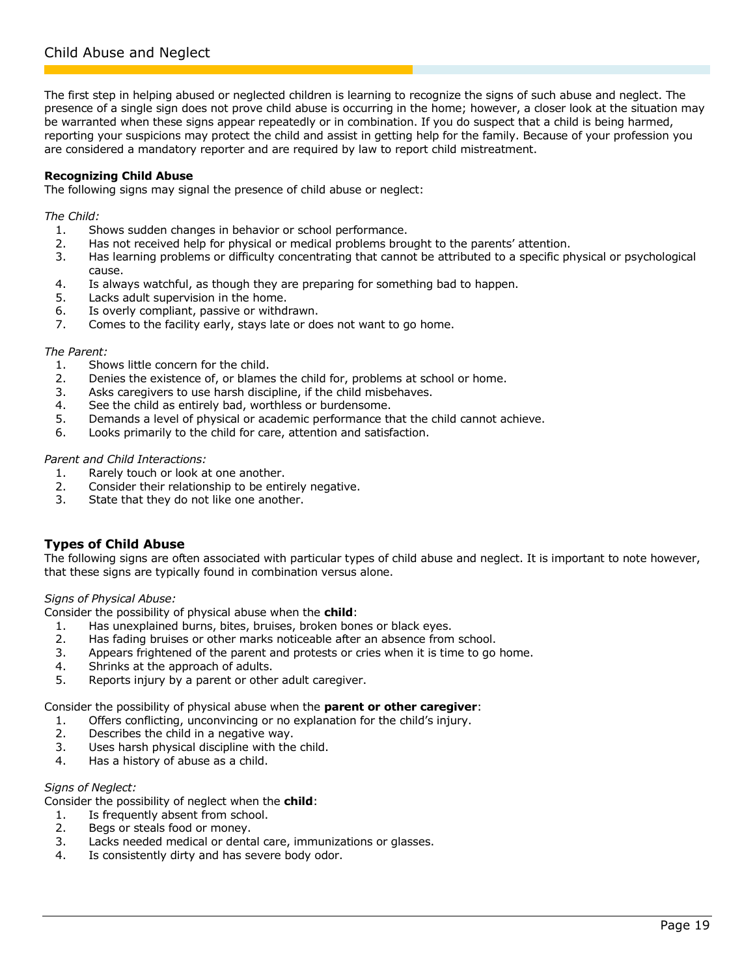<span id="page-18-0"></span>The first step in helping abused or neglected children is learning to recognize the signs of such abuse and neglect. The presence of a single sign does not prove child abuse is occurring in the home; however, a closer look at the situation may be warranted when these signs appear repeatedly or in combination. If you do suspect that a child is being harmed, reporting your suspicions may protect the child and assist in getting help for the family. Because of your profession you are considered a mandatory reporter and are required by law to report child mistreatment.

#### **Recognizing Child Abuse**

The following signs may signal the presence of child abuse or neglect:

*The Child:*

- 1. Shows sudden changes in behavior or school performance.
- 2. Has not received help for physical or medical problems brought to the parents' attention.
- 3. Has learning problems or difficulty concentrating that cannot be attributed to a specific physical or psychological cause.
- 4. Is always watchful, as though they are preparing for something bad to happen.
- 5. Lacks adult supervision in the home.
- 6. Is overly compliant, passive or withdrawn.
- 7. Comes to the facility early, stays late or does not want to go home.

#### *The Parent:*

- 1. Shows little concern for the child.
- 2. Denies the existence of, or blames the child for, problems at school or home.
- 3. Asks caregivers to use harsh discipline, if the child misbehaves.
- 4. See the child as entirely bad, worthless or burdensome.
- 5. Demands a level of physical or academic performance that the child cannot achieve.
- 6. Looks primarily to the child for care, attention and satisfaction.

#### *Parent and Child Interactions:*

- 1. Rarely touch or look at one another.
- 2. Consider their relationship to be entirely negative.
- 3. State that they do not like one another.

## **Types of Child Abuse**

The following signs are often associated with particular types of child abuse and neglect. It is important to note however, that these signs are typically found in combination versus alone.

*Signs of Physical Abuse:*

Consider the possibility of physical abuse when the **child**:

- 1. Has unexplained burns, bites, bruises, broken bones or black eyes.
- 2. Has fading bruises or other marks noticeable after an absence from school.
- 3. Appears frightened of the parent and protests or cries when it is time to go home.
- 4. Shrinks at the approach of adults.
- 5. Reports injury by a parent or other adult caregiver.

Consider the possibility of physical abuse when the **parent or other caregiver**:

- 1. Offers conflicting, unconvincing or no explanation for the child's injury.
- 2. Describes the child in a negative way.
- 3. Uses harsh physical discipline with the child.
- 4. Has a history of abuse as a child.

#### *Signs of Neglect:*

Consider the possibility of neglect when the **child**:

- 1. Is frequently absent from school.
- 2. Begs or steals food or money.
- 3. Lacks needed medical or dental care, immunizations or glasses.
- 4. Is consistently dirty and has severe body odor.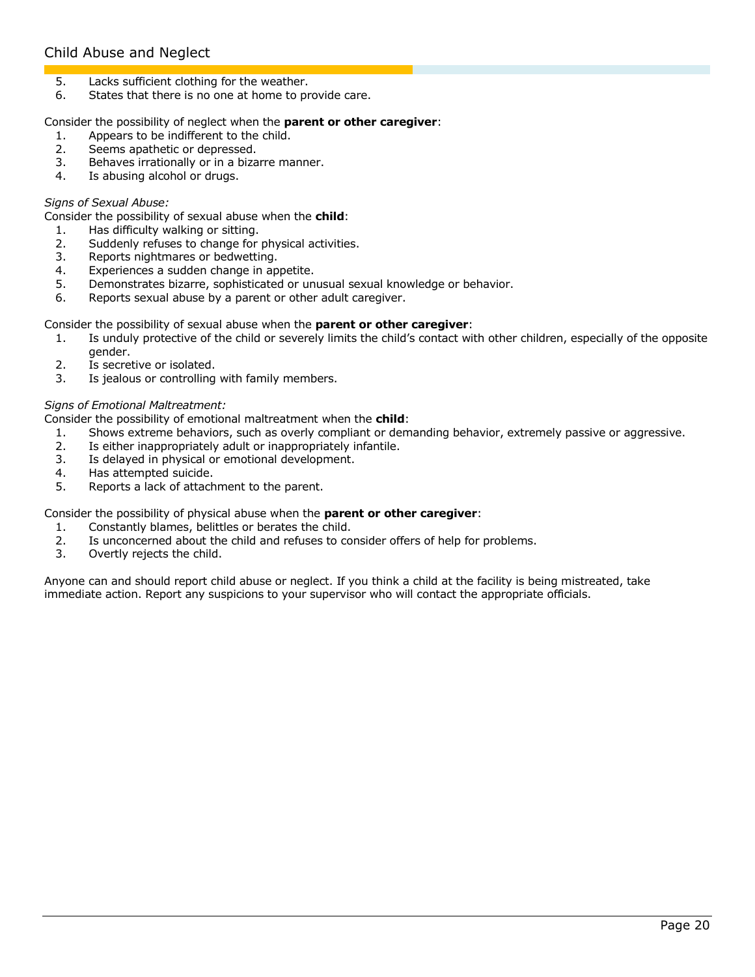# Child Abuse and Neglect

- 5. Lacks sufficient clothing for the weather.
- 6. States that there is no one at home to provide care.

#### Consider the possibility of neglect when the **parent or other caregiver**:

- 1. Appears to be indifferent to the child.
- 2. Seems apathetic or depressed.
- 3. Behaves irrationally or in a bizarre manner.
- 4. Is abusing alcohol or drugs.

#### *Signs of Sexual Abuse:*

Consider the possibility of sexual abuse when the **child**:

- 1. Has difficulty walking or sitting.
- 2. Suddenly refuses to change for physical activities.
- 3. Reports nightmares or bedwetting.
- 4. Experiences a sudden change in appetite.
- 5. Demonstrates bizarre, sophisticated or unusual sexual knowledge or behavior.
- 6. Reports sexual abuse by a parent or other adult caregiver.

#### Consider the possibility of sexual abuse when the **parent or other caregiver**:

- 1. Is unduly protective of the child or severely limits the child's contact with other children, especially of the opposite gender.
- 2. Is secretive or isolated.
- 3. Is jealous or controlling with family members.

#### *Signs of Emotional Maltreatment:*

Consider the possibility of emotional maltreatment when the **child**:

- 1. Shows extreme behaviors, such as overly compliant or demanding behavior, extremely passive or aggressive.
- 2. Is either inappropriately adult or inappropriately infantile.
- 3. Is delayed in physical or emotional development.
- 4. Has attempted suicide.
- 5. Reports a lack of attachment to the parent.

#### Consider the possibility of physical abuse when the **parent or other caregiver**:

- 1. Constantly blames, belittles or berates the child.
- 2. Is unconcerned about the child and refuses to consider offers of help for problems.
- 3. Overtly rejects the child.

Anyone can and should report child abuse or neglect. If you think a child at the facility is being mistreated, take immediate action. Report any suspicions to your supervisor who will contact the appropriate officials.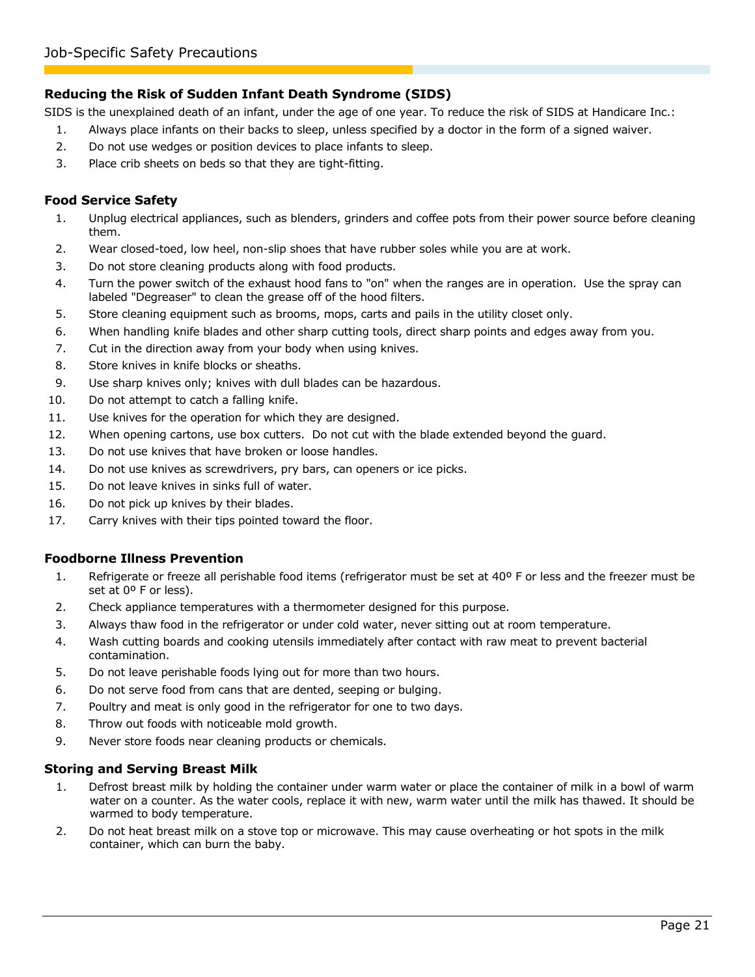## **Reducing the Risk of Sudden Infant Death Syndrome (SIDS)**

SIDS is the unexplained death of an infant, under the age of one year. To reduce the risk of SIDS at Handicare Inc.:

- 1. Always place infants on their backs to sleep, unless specified by a doctor in the form of a signed waiver.
- 2. Do not use wedges or position devices to place infants to sleep.
- 3. Place crib sheets on beds so that they are tight-fitting.

## **Food Service Safety**

- 1. Unplug electrical appliances, such as blenders, grinders and coffee pots from their power source before cleaning them.
- 2. Wear closed-toed, low heel, non-slip shoes that have rubber soles while you are at work.
- 3. Do not store cleaning products along with food products.
- 4. Turn the power switch of the exhaust hood fans to "on" when the ranges are in operation. Use the spray can labeled "Degreaser" to clean the grease off of the hood filters.
- 5. Store cleaning equipment such as brooms, mops, carts and pails in the utility closet only.
- 6. When handling knife blades and other sharp cutting tools, direct sharp points and edges away from you.
- 7. Cut in the direction away from your body when using knives.
- 8. Store knives in knife blocks or sheaths.
- 9. Use sharp knives only; knives with dull blades can be hazardous.
- 10. Do not attempt to catch a falling knife.
- 11. Use knives for the operation for which they are designed.
- 12. When opening cartons, use box cutters. Do not cut with the blade extended beyond the guard.
- 13. Do not use knives that have broken or loose handles.
- 14. Do not use knives as screwdrivers, pry bars, can openers or ice picks.
- 15. Do not leave knives in sinks full of water.
- 16. Do not pick up knives by their blades.
- 17. Carry knives with their tips pointed toward the floor.

## **Foodborne Illness Prevention**

- 1. Refrigerate or freeze all perishable food items (refrigerator must be set at 40º F or less and the freezer must be set at 0° F or less).
- 2. Check appliance temperatures with a thermometer designed for this purpose.
- 3. Always thaw food in the refrigerator or under cold water, never sitting out at room temperature.
- 4. Wash cutting boards and cooking utensils immediately after contact with raw meat to prevent bacterial contamination.
- 5. Do not leave perishable foods lying out for more than two hours.
- 6. Do not serve food from cans that are dented, seeping or bulging.
- 7. Poultry and meat is only good in the refrigerator for one to two days.
- 8. Throw out foods with noticeable mold growth.
- 9. Never store foods near cleaning products or chemicals.

## **Storing and Serving Breast Milk**

- 1. Defrost breast milk by holding the container under warm water or place the container of milk in a bowl of warm water on a counter. As the water cools, replace it with new, warm water until the milk has thawed. It should be warmed to body temperature.
- 2. Do not heat breast milk on a stove top or microwave. This may cause overheating or hot spots in the milk container, which can burn the baby.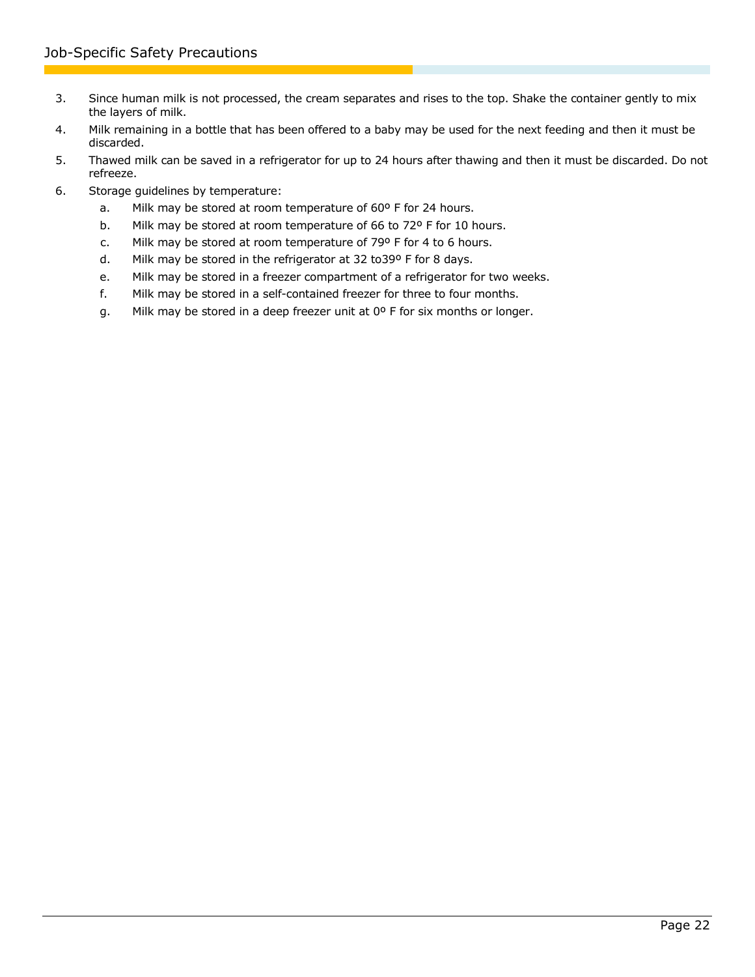- 3. Since human milk is not processed, the cream separates and rises to the top. Shake the container gently to mix the layers of milk.
- 4. Milk remaining in a bottle that has been offered to a baby may be used for the next feeding and then it must be discarded.
- 5. Thawed milk can be saved in a refrigerator for up to 24 hours after thawing and then it must be discarded. Do not refreeze.
- 6. Storage guidelines by temperature:
	- a. Milk may be stored at room temperature of 60º F for 24 hours.
	- b. Milk may be stored at room temperature of 66 to 72º F for 10 hours.
	- c. Milk may be stored at room temperature of 79º F for 4 to 6 hours.
	- d. Milk may be stored in the refrigerator at 32 to39º F for 8 days.
	- e. Milk may be stored in a freezer compartment of a refrigerator for two weeks.
	- f. Milk may be stored in a self-contained freezer for three to four months.
	- g. Milk may be stored in a deep freezer unit at 0º F for six months or longer.